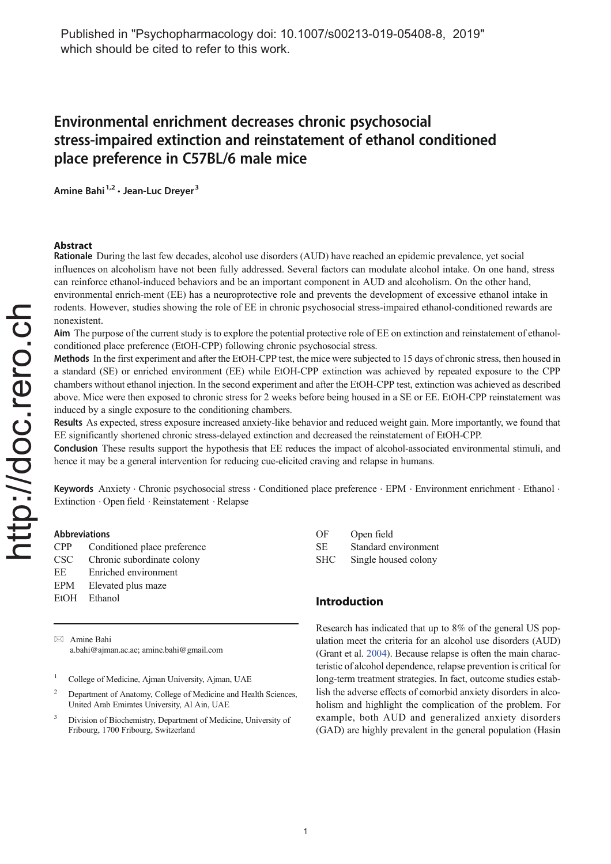# Environmental enrichment decreases chronic psychosocial stress-impaired extinction and reinstatement of ethanol conditioned place preference in C57BL/6 male mice

Amine Bahi <sup>1,2</sup> • Jean-Luc Dreyer <sup>3</sup>

# Abstract

Rationale During the last few decades, alcohol use disorders (AUD) have reached an epidemic prevalence, yet social influences on alcoholism have not been fully addressed. Several factors can modulate alcohol intake. On one hand, stress can reinforce ethanol-induced behaviors and be an important component in AUD and alcoholism. On the other hand, environmental enrich-ment (EE) has a neuroprotective role and prevents the development of excessive ethanol intake in rodents. However, studies showing the role of EE in chronic psychosocial stress-impaired ethanol-conditioned rewards are nonexistent.

Aim The purpose of the current study is to explore the potential protective role of EE on extinction and reinstatement of ethanolconditioned place preference (EtOH-CPP) following chronic psychosocial stress.

Methods In the first experiment and after the EtOH-CPP test, the mice were subjected to 15 days of chronic stress, then housed in a standard (SE) or enriched environment (EE) while EtOH-CPP extinction was achieved by repeated exposure to the CPP chambers without ethanol injection. In the second experiment and after the EtOH-CPP test, extinction was achieved as described above. Mice were then exposed to chronic stress for 2 weeks before being housed in a SE or EE. EtOH-CPP reinstatement was induced by a single exposure to the conditioning chambers.

Results As expected, stress exposure increased anxiety-like behavior and reduced weight gain. More importantly, we found that EE significantly shortened chronic stress-delayed extinction and decreased the reinstatement of EtOH-CPP.

Conclusion These results support the hypothesis that EE reduces the impact of alcohol-associated environmental stimuli, and hence it may be a general intervention for reducing cue-elicited craving and relapse in humans.

Keywords Anxiety . Chronic psychosocial stress . Conditioned place preference . EPM . Environment enrichment . Ethanol . Extinction . Open field . Reinstatement . Relapse

#### Abbreviations

| CPP. | Conditioned place preference |
|------|------------------------------|
| CSC- | Chronic subordinate colony   |
| ЕE   | Enriched environment         |
| EPM  | Elevated plus maze           |
|      | EtOH Ethanol                 |
|      |                              |

 $\boxtimes$  Amine Bahi a.bahi@ajman.ac.ae; amine.bahi@gmail.com

<sup>1</sup> College of Medicine, Ajman University, Ajman, UAE

- <sup>2</sup> Department of Anatomy, College of Medicine and Health Sciences. United Arab Emirates University, Al Ain, UAE
- <sup>3</sup> Division of Biochemistry, Department of Medicine, University of Fribourg, 1700 Fribourg, Switzerland

| OF  | Open field           |
|-----|----------------------|
| SЕ  | Standard environment |
| SHC | Single housed colony |

# Introduction

Research has indicated that up to 8% of the general US population meet the criteria for an alcohol use disorders (AUD) (Grant et al. 2004). Because relapse is often the main characteristic of alcohol dependence, relapse prevention is critical for long-term treatment strategies. In fact, outcome studies establish the adverse effects of comorbid anxiety disorders in alcoholism and highlight the complication of the problem. For example, both AUD and generalized anxiety disorders (GAD) are highly prevalent in the general population (Hasin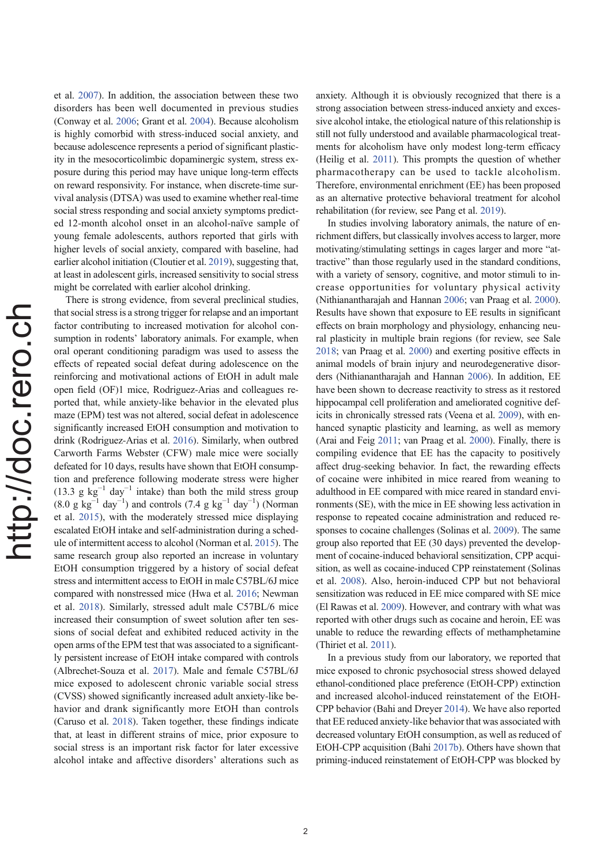et al. 2007). In addition, the association between these two disorders has been well documented in previous studies (Conway et al. 2006; Grant et al. 2004). Because alcoholism is highly comorbid with stress-induced social anxiety, and because adolescence represents a period of significant plasticity in the mesocorticolimbic dopaminergic system, stress exposure during this period may have unique long-term effects on reward responsivity. For instance, when discrete-time survival analysis (DTSA) was used to examine whether real-time social stress responding and social anxiety symptoms predicted 12-month alcohol onset in an alcohol-naïve sample of young female adolescents, authors reported that girls with higher levels of social anxiety, compared with baseline, had earlier alcohol initiation (Cloutier et al. 2019), suggesting that, at least in adolescent girls, increased sensitivity to social stress might be correlated with earlier alcohol drinking.

There is strong evidence, from several preclinical studies, that social stress is a strong trigger for relapse and an important factor contributing to increased motivation for alcohol consumption in rodents' laboratory animals. For example, when oral operant conditioning paradigm was used to assess the effects of repeated social defeat during adolescence on the reinforcing and motivational actions of EtOH in adult male open field (OF)1 mice, Rodriguez-Arias and colleagues reported that, while anxiety-like behavior in the elevated plus maze (EPM) test was not altered, social defeat in adolescence significantly increased EtOH consumption and motivation to drink (Rodriguez-Arias et al. 2016). Similarly, when outbred Carworth Farms Webster (CFW) male mice were socially defeated for 10 days, results have shown that EtOH consumption and preference following moderate stress were higher (13.3 g  $kg^{-1}$  day<sup>-1</sup> intake) than both the mild stress group  $(8.0 \text{ g kg}^{-1} \text{ day}^{-1})$  and controls  $(7.4 \text{ g kg}^{-1} \text{ day}^{-1})$  (Norman et al. 2015), with the moderately stressed mice displaying escalated EtOH intake and self-administration during a schedule of intermittent access to alcohol (Norman et al. 2015). The same research group also reported an increase in voluntary EtOH consumption triggered by a history of social defeat stress and intermittent access to EtOH in male C57BL/6J mice compared with nonstressed mice (Hwa et al. 2016; Newman et al. 2018). Similarly, stressed adult male C57BL/6 mice increased their consumption of sweet solution after ten sessions of social defeat and exhibited reduced activity in the open arms of the EPM test that was associated to a significantly persistent increase of EtOH intake compared with controls (Albrechet-Souza et al. 2017). Male and female C57BL/6J mice exposed to adolescent chronic variable social stress (CVSS) showed significantly increased adult anxiety-like behavior and drank significantly more EtOH than controls (Caruso et al. 2018). Taken together, these findings indicate that, at least in different strains of mice, prior exposure to social stress is an important risk factor for later excessive alcohol intake and affective disorders' alterations such as anxiety. Although it is obviously recognized that there is a strong association between stress-induced anxiety and excessive alcohol intake, the etiological nature of this relationship is still not fully understood and available pharmacological treatments for alcoholism have only modest long-term efficacy (Heilig et al. 2011). This prompts the question of whether pharmacotherapy can be used to tackle alcoholism. Therefore, environmental enrichment (EE) has been proposed as an alternative protective behavioral treatment for alcohol rehabilitation (for review, see Pang et al. 2019).

In studies involving laboratory animals, the nature of enrichment differs, but classically involves access to larger, more motivating/stimulating settings in cages larger and more "attractive" than those regularly used in the standard conditions, with a variety of sensory, cognitive, and motor stimuli to increase opportunities for voluntary physical activity (Nithianantharajah and Hannan 2006; van Praag et al. 2000). Results have shown that exposure to EE results in significant effects on brain morphology and physiology, enhancing neural plasticity in multiple brain regions (for review, see Sale 2018; van Praag et al. 2000) and exerting positive effects in animal models of brain injury and neurodegenerative disorders (Nithianantharajah and Hannan 2006). In addition, EE have been shown to decrease reactivity to stress as it restored hippocampal cell proliferation and ameliorated cognitive deficits in chronically stressed rats (Veena et al. 2009), with enhanced synaptic plasticity and learning, as well as memory (Arai and Feig 2011; van Praag et al. 2000). Finally, there is compiling evidence that EE has the capacity to positively affect drug-seeking behavior. In fact, the rewarding effects of cocaine were inhibited in mice reared from weaning to adulthood in EE compared with mice reared in standard environments (SE), with the mice in EE showing less activation in response to repeated cocaine administration and reduced responses to cocaine challenges (Solinas et al. 2009). The same group also reported that EE (30 days) prevented the development of cocaine-induced behavioral sensitization, CPP acquisition, as well as cocaine-induced CPP reinstatement (Solinas et al. 2008). Also, heroin-induced CPP but not behavioral sensitization was reduced in EE mice compared with SE mice (El Rawas et al. 2009). However, and contrary with what was reported with other drugs such as cocaine and heroin, EE was unable to reduce the rewarding effects of methamphetamine (Thiriet et al. 2011).

In a previous study from our laboratory, we reported that mice exposed to chronic psychosocial stress showed delayed ethanol-conditioned place preference (EtOH-CPP) extinction and increased alcohol-induced reinstatement of the EtOH-CPP behavior (Bahi and Dreyer 2014). We have also reported that EE reduced anxiety-like behavior that was associated with decreased voluntary EtOH consumption, as well as reduced of EtOH-CPP acquisition (Bahi 2017b). Others have shown that priming-induced reinstatement of EtOH-CPP was blocked by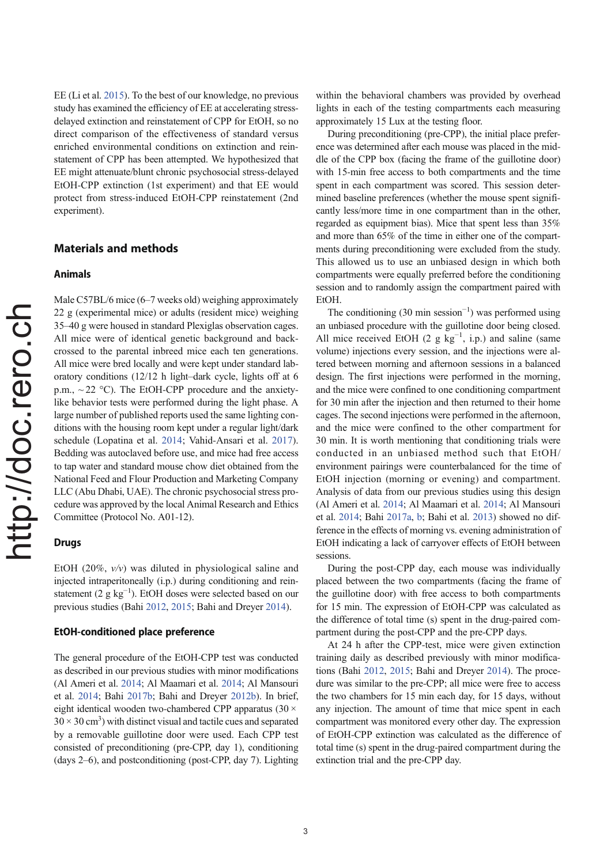EE (Li et al. 2015). To the best of our knowledge, no previous study has examined the efficiency of EE at accelerating stressdelayed extinction and reinstatement of CPP for EtOH, so no direct comparison of the effectiveness of standard versus enriched environmental conditions on extinction and reinstatement of CPP has been attempted. We hypothesized that EE might attenuate/blunt chronic psychosocial stress-delayed EtOH-CPP extinction (1st experiment) and that EE would protect from stress-induced EtOH-CPP reinstatement (2nd experiment).

# Materials and methods

# Animals

Male C57BL/6 mice (6–7 weeks old) weighing approximately 22 g (experimental mice) or adults (resident mice) weighing 35–40 g were housed in standard Plexiglas observation cages. All mice were of identical genetic background and backcrossed to the parental inbreed mice each ten generations. All mice were bred locally and were kept under standard laboratory conditions (12/12 h light–dark cycle, lights off at 6 p.m.,  $\sim$  22 °C). The EtOH-CPP procedure and the anxietylike behavior tests were performed during the light phase. A large number of published reports used the same lighting conditions with the housing room kept under a regular light/dark schedule (Lopatina et al. 2014; Vahid-Ansari et al. 2017). Bedding was autoclaved before use, and mice had free access to tap water and standard mouse chow diet obtained from the National Feed and Flour Production and Marketing Company LLC (Abu Dhabi, UAE). The chronic psychosocial stress procedure was approved by the local Animal Research and Ethics Committee (Protocol No. A01-12).

# Drugs

EtOH (20%,  $v/v$ ) was diluted in physiological saline and injected intraperitoneally (i.p.) during conditioning and reinstatement (2 g kg−<sup>1</sup> ). EtOH doses were selected based on our previous studies (Bahi 2012, 2015; Bahi and Dreyer 2014).

# EtOH-conditioned place preference

The general procedure of the EtOH-CPP test was conducted as described in our previous studies with minor modifications (Al Ameri et al. 2014; Al Maamari et al. 2014; Al Mansouri et al. 2014; Bahi 2017b; Bahi and Dreyer 2012b). In brief, eight identical wooden two-chambered CPP apparatus ( $30 \times$  $30 \times 30 \text{ cm}^3$ ) with distinct visual and tactile cues and separated by a removable guillotine door were used. Each CPP test consisted of preconditioning (pre-CPP, day 1), conditioning (days 2–6), and postconditioning (post-CPP, day 7). Lighting within the behavioral chambers was provided by overhead lights in each of the testing compartments each measuring approximately 15 Lux at the testing floor.

During preconditioning (pre-CPP), the initial place preference was determined after each mouse was placed in the middle of the CPP box (facing the frame of the guillotine door) with 15-min free access to both compartments and the time spent in each compartment was scored. This session determined baseline preferences (whether the mouse spent significantly less/more time in one compartment than in the other, regarded as equipment bias). Mice that spent less than 35% and more than 65% of the time in either one of the compartments during preconditioning were excluded from the study. This allowed us to use an unbiased design in which both compartments were equally preferred before the conditioning session and to randomly assign the compartment paired with EtOH.

The conditioning  $(30 \text{ min session}^{-1})$  was performed using an unbiased procedure with the guillotine door being closed. All mice received EtOH (2  $g$  kg<sup>-1</sup>, i.p.) and saline (same volume) injections every session, and the injections were altered between morning and afternoon sessions in a balanced design. The first injections were performed in the morning, and the mice were confined to one conditioning compartment for 30 min after the injection and then returned to their home cages. The second injections were performed in the afternoon, and the mice were confined to the other compartment for 30 min. It is worth mentioning that conditioning trials were conducted in an unbiased method such that EtOH/ environment pairings were counterbalanced for the time of EtOH injection (morning or evening) and compartment. Analysis of data from our previous studies using this design (Al Ameri et al. 2014; Al Maamari et al. 2014; Al Mansouri et al. 2014; Bahi 2017a, b; Bahi et al. 2013) showed no difference in the effects of morning vs. evening administration of EtOH indicating a lack of carryover effects of EtOH between sessions.

During the post-CPP day, each mouse was individually placed between the two compartments (facing the frame of the guillotine door) with free access to both compartments for 15 min. The expression of EtOH-CPP was calculated as the difference of total time (s) spent in the drug-paired compartment during the post-CPP and the pre-CPP days.

At 24 h after the CPP-test, mice were given extinction training daily as described previously with minor modifications (Bahi 2012, 2015; Bahi and Dreyer 2014). The procedure was similar to the pre-CPP; all mice were free to access the two chambers for 15 min each day, for 15 days, without any injection. The amount of time that mice spent in each compartment was monitored every other day. The expression of EtOH-CPP extinction was calculated as the difference of total time (s) spent in the drug-paired compartment during the extinction trial and the pre-CPP day.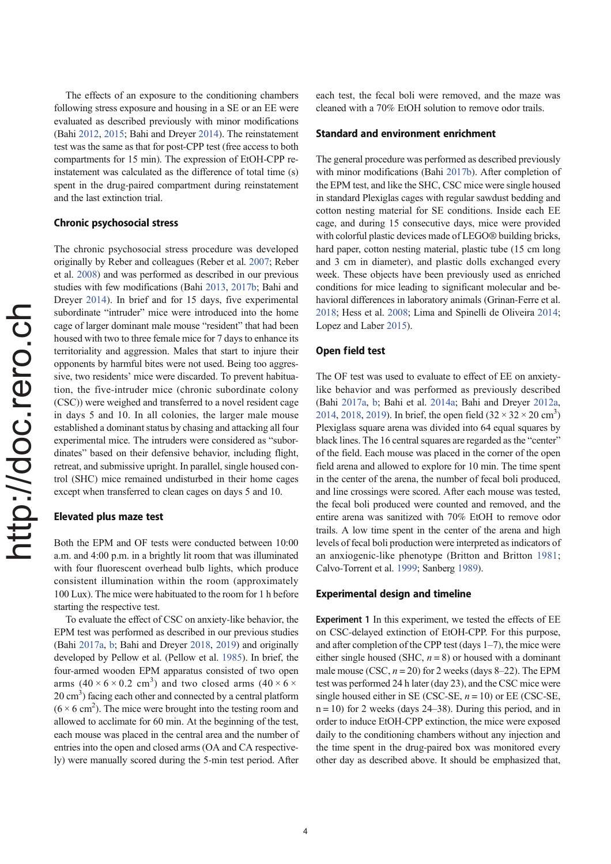The effects of an exposure to the conditioning chambers following stress exposure and housing in a SE or an EE were evaluated as described previously with minor modifications (Bahi 2012, 2015; Bahi and Dreyer 2014). The reinstatement test was the same as that for post-CPP test (free access to both compartments for 15 min). The expression of EtOH-CPP reinstatement was calculated as the difference of total time (s) spent in the drug-paired compartment during reinstatement and the last extinction trial.

#### Chronic psychosocial stress

The chronic psychosocial stress procedure was developed originally by Reber and colleagues (Reber et al. 2007; Reber et al. 2008) and was performed as described in our previous studies with few modifications (Bahi 2013, 2017b; Bahi and Dreyer 2014). In brief and for 15 days, five experimental subordinate "intruder" mice were introduced into the home cage of larger dominant male mouse "resident" that had been housed with two to three female mice for 7 days to enhance its territoriality and aggression. Males that start to injure their opponents by harmful bites were not used. Being too aggressive, two residents' mice were discarded. To prevent habituation, the five-intruder mice (chronic subordinate colony (CSC)) were weighed and transferred to a novel resident cage in days 5 and 10. In all colonies, the larger male mouse established a dominant status by chasing and attacking all four experimental mice. The intruders were considered as "subordinates" based on their defensive behavior, including flight, retreat, and submissive upright. In parallel, single housed control (SHC) mice remained undisturbed in their home cages except when transferred to clean cages on days 5 and 10.

#### Elevated plus maze test

Both the EPM and OF tests were conducted between 10:00 a.m. and 4:00 p.m. in a brightly lit room that was illuminated with four fluorescent overhead bulb lights, which produce consistent illumination within the room (approximately 100 Lux). The mice were habituated to the room for 1 h before starting the respective test.

To evaluate the effect of CSC on anxiety-like behavior, the EPM test was performed as described in our previous studies (Bahi 2017a, b; Bahi and Dreyer 2018, 2019) and originally developed by Pellow et al. (Pellow et al. 1985). In brief, the four-armed wooden EPM apparatus consisted of two open arms  $(40 \times 6 \times 0.2 \text{ cm}^3)$  and two closed arms  $(40 \times 6 \times$ 20 cm<sup>3</sup>) facing each other and connected by a central platform  $(6 \times 6 \text{ cm}^2)$ . The mice were brought into the testing room and allowed to acclimate for 60 min. At the beginning of the test, each mouse was placed in the central area and the number of entries into the open and closed arms (OA and CA respectively) were manually scored during the 5-min test period. After

each test, the fecal boli were removed, and the maze was cleaned with a 70% EtOH solution to remove odor trails.

#### Standard and environment enrichment

The general procedure was performed as described previously with minor modifications (Bahi 2017b). After completion of the EPM test, and like the SHC, CSC mice were single housed in standard Plexiglas cages with regular sawdust bedding and cotton nesting material for SE conditions. Inside each EE cage, and during 15 consecutive days, mice were provided with colorful plastic devices made of LEGO® building bricks, hard paper, cotton nesting material, plastic tube (15 cm long) and 3 cm in diameter), and plastic dolls exchanged every week. These objects have been previously used as enriched conditions for mice leading to significant molecular and behavioral differences in laboratory animals (Grinan-Ferre et al. 2018; Hess et al. 2008; Lima and Spinelli de Oliveira 2014; Lopez and Laber 2015).

#### Open field test

The OF test was used to evaluate to effect of EE on anxietylike behavior and was performed as previously described (Bahi 2017a, b; Bahi et al. 2014a; Bahi and Dreyer 2012a, 2014, 2018, 2019). In brief, the open field  $(32 \times 32 \times 20 \text{ cm}^3)$ Plexiglass square arena was divided into 64 equal squares by black lines. The 16 central squares are regarded as the "center" of the field. Each mouse was placed in the corner of the open field arena and allowed to explore for 10 min. The time spent in the center of the arena, the number of fecal boli produced, and line crossings were scored. After each mouse was tested, the fecal boli produced were counted and removed, and the entire arena was sanitized with 70% EtOH to remove odor trails. A low time spent in the center of the arena and high levels of fecal boli production were interpreted as indicators of an anxiogenic-like phenotype (Britton and Britton 1981; Calvo-Torrent et al. 1999; Sanberg 1989).

### Experimental design and timeline

Experiment 1 In this experiment, we tested the effects of EE on CSC-delayed extinction of EtOH-CPP. For this purpose, and after completion of the CPP test (days  $1-7$ ), the mice were either single housed (SHC,  $n = 8$ ) or housed with a dominant male mouse (CSC,  $n = 20$ ) for 2 weeks (days 8–22). The EPM test was performed 24 h later (day 23), and the CSC mice were single housed either in SE (CSC-SE,  $n = 10$ ) or EE (CSC-SE,  $n = 10$ ) for 2 weeks (days 24–38). During this period, and in order to induce EtOH-CPP extinction, the mice were exposed daily to the conditioning chambers without any injection and the time spent in the drug-paired box was monitored every other day as described above. It should be emphasized that,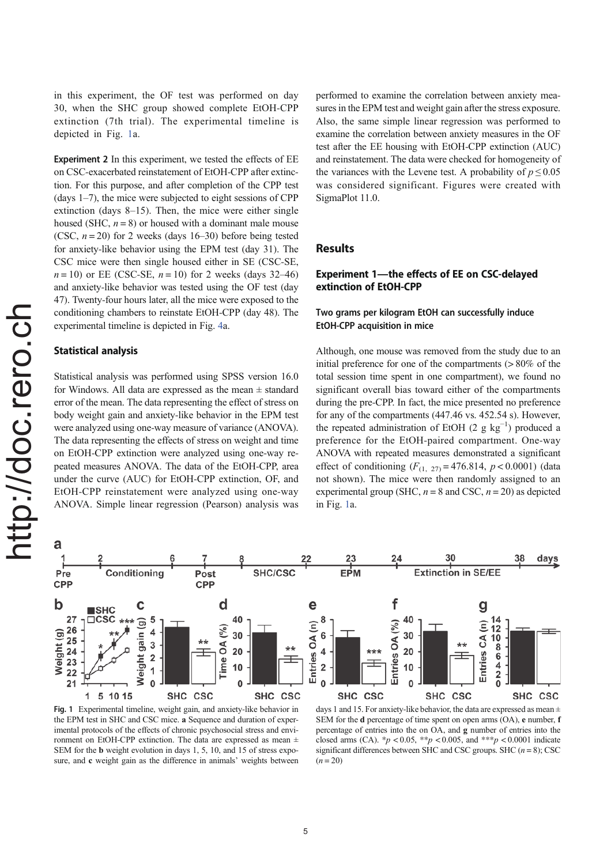in this experiment, the OF test was performed on day 30, when the SHC group showed complete EtOH-CPP extinction (7th trial). The experimental timeline is depicted in Fig. 1a.

Experiment 2 In this experiment, we tested the effects of EE on CSC-exacerbated reinstatement of EtOH-CPP after extinction. For this purpose, and after completion of the CPP test (days  $1-7$ ), the mice were subjected to eight sessions of CPP extinction (days 8–15). Then, the mice were either single housed (SHC,  $n = 8$ ) or housed with a dominant male mouse (CSC,  $n = 20$ ) for 2 weeks (days 16–30) before being tested for anxiety-like behavior using the EPM test (day 31). The CSC mice were then single housed either in SE (CSC-SE,  $n = 10$ ) or EE (CSC-SE,  $n = 10$ ) for 2 weeks (days 32–46) and anxiety-like behavior was tested using the OF test (day 47). Twenty-four hours later, all the mice were exposed to the conditioning chambers to reinstate EtOH-CPP (day 48). The experimental timeline is depicted in Fig. 4a.

#### Statistical analysis

Statistical analysis was performed using SPSS version 16.0 for Windows. All data are expressed as the mean  $\pm$  standard error of the mean. The data representing the effect of stress on body weight gain and anxiety-like behavior in the EPM test were analyzed using one-way measure of variance (ANOVA). The data representing the effects of stress on weight and time on EtOH-CPP extinction were analyzed using one-way repeated measures ANOVA. The data of the EtOH-CPP, area under the curve (AUC) for EtOH-CPP extinction, OF, and EtOH-CPP reinstatement were analyzed using one-way ANOVA. Simple linear regression (Pearson) analysis was performed to examine the correlation between anxiety measures in the EPM test and weight gain after the stress exposure. Also, the same simple linear regression was performed to examine the correlation between anxiety measures in the OF test after the EE housing with EtOH-CPP extinction (AUC) and reinstatement. The data were checked for homogeneity of the variances with the Levene test. A probability of  $p \le 0.05$ was considered significant. Figures were created with SigmaPlot 11.0.

# Results

# Experiment 1—the effects of EE on CSC-delayed extinction of EtOH-CPP

# Two grams per kilogram EtOH can successfully induce EtOH-CPP acquisition in mice

Although, one mouse was removed from the study due to an initial preference for one of the compartments  $( > 80\% )$  of the total session time spent in one compartment), we found no significant overall bias toward either of the compartments during the pre-CPP. In fact, the mice presented no preference for any of the compartments (447.46 vs. 452.54 s). However, the repeated administration of EtOH (2  $g kg^{-1}$ ) produced a preference for the EtOH-paired compartment. One-way ANOVA with repeated measures demonstrated a significant effect of conditioning  $(F_{(1, 27)} = 476.814, p < 0.0001)$  (data not shown). The mice were then randomly assigned to an experimental group (SHC,  $n = 8$  and CSC,  $n = 20$ ) as depicted in Fig. 1a.



Fig. 1 Experimental timeline, weight gain, and anxiety-like behavior in the EPM test in SHC and CSC mice. a Sequence and duration of experimental protocols of the effects of chronic psychosocial stress and environment on EtOH-CPP extinction. The data are expressed as mean ± SEM for the b weight evolution in days 1, 5, 10, and 15 of stress exposure, and c weight gain as the difference in animals' weights between

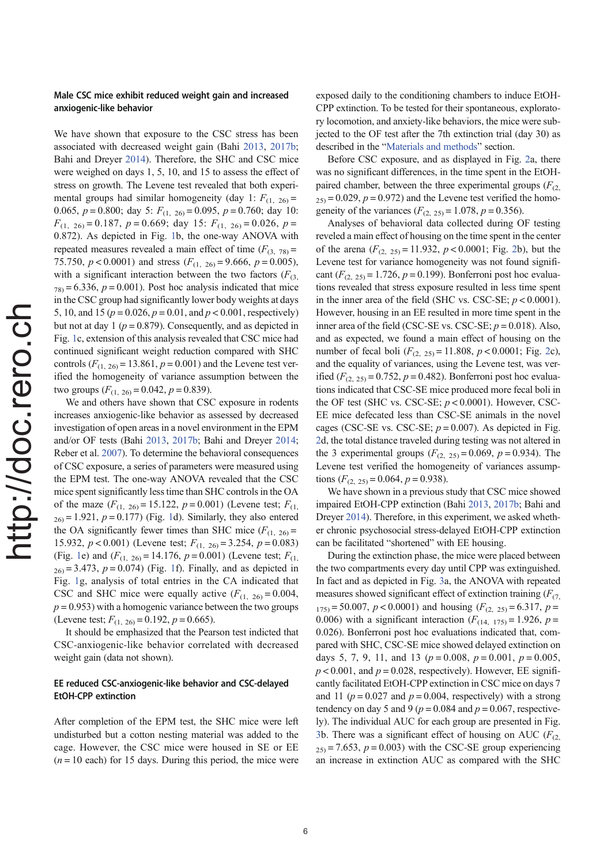#### Male CSC mice exhibit reduced weight gain and increased anxiogenic-like behavior

We have shown that exposure to the CSC stress has been associated with decreased weight gain (Bahi 2013, 2017b; Bahi and Dreyer 2014). Therefore, the SHC and CSC mice were weighed on days 1, 5, 10, and 15 to assess the effect of stress on growth. The Levene test revealed that both experimental groups had similar homogeneity (day 1:  $F_{(1, 26)} =$ 0.065,  $p = 0.800$ ; day 5:  $F_{(1, 26)} = 0.095$ ,  $p = 0.760$ ; day 10:  $F_{(1, 26)} = 0.187$ ,  $p = 0.669$ ; day 15:  $F_{(1, 26)} = 0.026$ ,  $p =$ 0.872). As depicted in Fig. 1b, the one-way ANOVA with repeated measures revealed a main effect of time  $(F_{(3, 78)} =$ 75.750,  $p < 0.0001$ ) and stress  $(F_{(1, 26)} = 9.666, p = 0.005)$ , with a significant interaction between the two factors  $(F_{(3)})$  $78$  = 6.336,  $p = 0.001$ ). Post hoc analysis indicated that mice in the CSC group had significantly lower body weights at days 5, 10, and 15 ( $p = 0.026$ ,  $p = 0.01$ , and  $p < 0.001$ , respectively) but not at day 1 ( $p = 0.879$ ). Consequently, and as depicted in Fig. 1c, extension of this analysis revealed that CSC mice had continued significant weight reduction compared with SHC controls  $(F_{(1, 26)} = 13.861, p = 0.001)$  and the Levene test verified the homogeneity of variance assumption between the two groups  $(F_{(1, 26)} = 0.042, p = 0.839)$ .

We and others have shown that CSC exposure in rodents increases anxiogenic-like behavior as assessed by decreased investigation of open areas in a novel environment in the EPM and/or OF tests (Bahi 2013, 2017b; Bahi and Dreyer 2014; Reber et al. 2007). To determine the behavioral consequences of CSC exposure, a series of parameters were measured using the EPM test. The one-way ANOVA revealed that the CSC mice spent significantly less time than SHC controls in the OA of the maze  $(F_{(1, 26)} = 15.122, p = 0.001)$  (Levene test;  $F_{(1, 26)}$  $_{26)}$  = 1.921,  $p = 0.177$ ) (Fig. 1d). Similarly, they also entered the OA significantly fewer times than SHC mice  $(F_{(1, 26)} =$ 15.932,  $p < 0.001$ ) (Levene test;  $F_{(1, 26)} = 3.254$ ,  $p = 0.083$ ) (Fig. 1e) and  $(F_{(1, 26)} = 14.176, p = 0.001)$  (Levene test;  $F_{(1, 26)}$  $_{26)}$  = 3.473,  $p = 0.074$ ) (Fig. 1f). Finally, and as depicted in Fig. 1g, analysis of total entries in the CA indicated that CSC and SHC mice were equally active  $(F_{(1, 26)} = 0.004,$  $p = 0.953$ ) with a homogenic variance between the two groups (Levene test;  $F_{(1, 26)} = 0.192$ ,  $p = 0.665$ ).

It should be emphasized that the Pearson test indicted that CSC-anxiogenic-like behavior correlated with decreased weight gain (data not shown).

### EE reduced CSC-anxiogenic-like behavior and CSC-delayed EtOH-CPP extinction

After completion of the EPM test, the SHC mice were left undisturbed but a cotton nesting material was added to the cage. However, the CSC mice were housed in SE or EE  $(n = 10 \text{ each})$  for 15 days. During this period, the mice were

exposed daily to the conditioning chambers to induce EtOH-CPP extinction. To be tested for their spontaneous, exploratory locomotion, and anxiety-like behaviors, the mice were subjected to the OF test after the 7th extinction trial (day 30) as described in the "Materials and methods" section.

Before CSC exposure, and as displayed in Fig. 2a, there was no significant differences, in the time spent in the EtOHpaired chamber, between the three experimental groups  $(F_{(2)})$  $25$  = 0.029,  $p = 0.972$ ) and the Levene test verified the homogeneity of the variances ( $F_{(2, 25)} = 1.078$ ,  $p = 0.356$ ).

Analyses of behavioral data collected during OF testing reveled a main effect of housing on the time spent in the center of the arena  $(F_{(2, 25)} = 11.932, p < 0.0001;$  Fig. 2b), but the Levene test for variance homogeneity was not found significant  $(F_{(2, 25)} = 1.726, p = 0.199)$ . Bonferroni post hoc evaluations revealed that stress exposure resulted in less time spent in the inner area of the field (SHC vs. CSC-SE;  $p < 0.0001$ ). However, housing in an EE resulted in more time spent in the inner area of the field (CSC-SE vs. CSC-SE;  $p = 0.018$ ). Also, and as expected, we found a main effect of housing on the number of fecal boli  $(F_{(2, 25)} = 11.808, p < 0.0001;$  Fig. 2c), and the equality of variances, using the Levene test, was verified  $(F_{(2, 25)} = 0.752, p = 0.482)$ . Bonferroni post hoc evaluations indicated that CSC-SE mice produced more fecal boli in the OF test (SHC vs. CSC-SE;  $p < 0.0001$ ). However, CSC-EE mice defecated less than CSC-SE animals in the novel cages (CSC-SE vs. CSC-SE;  $p = 0.007$ ). As depicted in Fig. 2d, the total distance traveled during testing was not altered in the 3 experimental groups  $(F_{(2, 25)} = 0.069, p = 0.934)$ . The Levene test verified the homogeneity of variances assumptions  $(F_{(2, 25)} = 0.064, p = 0.938)$ .

We have shown in a previous study that CSC mice showed impaired EtOH-CPP extinction (Bahi 2013, 2017b; Bahi and Dreyer 2014). Therefore, in this experiment, we asked whether chronic psychosocial stress-delayed EtOH-CPP extinction can be facilitated "shortened" with EE housing.

During the extinction phase, the mice were placed between the two compartments every day until CPP was extinguished. In fact and as depicted in Fig. 3a, the ANOVA with repeated measures showed significant effect of extinction training  $(F_{(7)})$  $1_{175}$  = 50.007,  $p < 0.0001$ ) and housing  $(F_{(2, 25)} = 6.317, p =$ 0.006) with a significant interaction  $(F_{(14, 175)} = 1.926, p =$ 0.026). Bonferroni post hoc evaluations indicated that, compared with SHC, CSC-SE mice showed delayed extinction on days 5, 7, 9, 11, and 13 ( $p = 0.008$ ,  $p = 0.001$ ,  $p = 0.005$ ,  $p < 0.001$ , and  $p = 0.028$ , respectively). However, EE significantly facilitated EtOH-CPP extinction in CSC mice on days 7 and 11 ( $p = 0.027$  and  $p = 0.004$ , respectively) with a strong tendency on day 5 and 9 ( $p = 0.084$  and  $p = 0.067$ , respectively). The individual AUC for each group are presented in Fig. 3b. There was a significant effect of housing on AUC ( $F_{(2)}$ )  $25$  = 7.653,  $p = 0.003$ ) with the CSC-SE group experiencing an increase in extinction AUC as compared with the SHC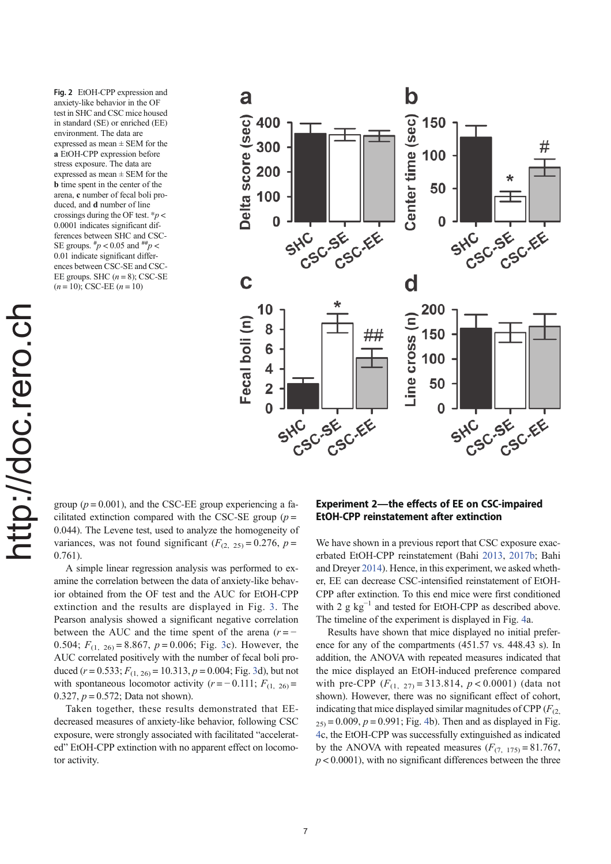Fig. 2 EtOH-CPP expression and anxiety-like behavior in the OF test in SHC and CSC mice housed in standard (SE) or enriched (EE) environment. The data are expressed as mean  $\pm$  SEM for the a EtOH-CPP expression before stress exposure. The data are expressed as mean ± SEM for the b time spent in the center of the arena, c number of fecal boli produced, and d number of line crossings during the OF test.  $\frac{p}{q}$ 0.0001 indicates significant differences between SHC and CSC-SE groups.  $\frac{\mu}{p}$  < 0.05 and  $\frac{\mu}{p}$  < 0.01 indicate significant differences between CSC-SE and CSC-EE groups. SHC  $(n = 8)$ ; CSC-SE  $(n = 10)$ ; CSC-EE  $(n = 10)$ 



http://doc.rero.chhttp://doc.rero.ch

group ( $p = 0.001$ ), and the CSC-EE group experiencing a facilitated extinction compared with the CSC-SE group ( $p =$ 0.044). The Levene test, used to analyze the homogeneity of variances, was not found significant  $(F_{(2, 25)} = 0.276, p =$ 0.761).

A simple linear regression analysis was performed to examine the correlation between the data of anxiety-like behavior obtained from the OF test and the AUC for EtOH-CPP extinction and the results are displayed in Fig. 3. The Pearson analysis showed a significant negative correlation between the AUC and the time spent of the arena  $(r = -$ 0.504;  $F_{(1, 26)} = 8.867$ ,  $p = 0.006$ ; Fig. 3c). However, the AUC correlated positively with the number of fecal boli produced  $(r = 0.533; F_{(1, 26)} = 10.313, p = 0.004; Fig. 3d)$ , but not with spontaneous locomotor activity ( $r = -0.111$ ;  $F_{(1, 26)} =$ 0.327,  $p = 0.572$ ; Data not shown).

Taken together, these results demonstrated that EEdecreased measures of anxiety-like behavior, following CSC exposure, were strongly associated with facilitated "accelerated" EtOH-CPP extinction with no apparent effect on locomotor activity.

# Experiment 2—the effects of EE on CSC-impaired EtOH-CPP reinstatement after extinction

We have shown in a previous report that CSC exposure exacerbated EtOH-CPP reinstatement (Bahi 2013, 2017b; Bahi and Dreyer 2014). Hence, in this experiment, we asked whether, EE can decrease CSC-intensified reinstatement of EtOH-CPP after extinction. To this end mice were first conditioned with 2  $g \text{ kg}^{-1}$  and tested for EtOH-CPP as described above. The timeline of the experiment is displayed in Fig. 4a.

Results have shown that mice displayed no initial preference for any of the compartments (451.57 vs. 448.43 s). In addition, the ANOVA with repeated measures indicated that the mice displayed an EtOH-induced preference compared with pre-CPP  $(F_{(1, 27)} = 313.814, p < 0.0001)$  (data not shown). However, there was no significant effect of cohort, indicating that mice displayed similar magnitudes of CPP ( $F_{(2)}$ ,  $25$  = 0.009,  $p = 0.991$ ; Fig. 4b). Then and as displayed in Fig. 4c, the EtOH-CPP was successfully extinguished as indicated by the ANOVA with repeated measures  $(F_{(7, 175)} = 81.767$ ,  $p < 0.0001$ ), with no significant differences between the three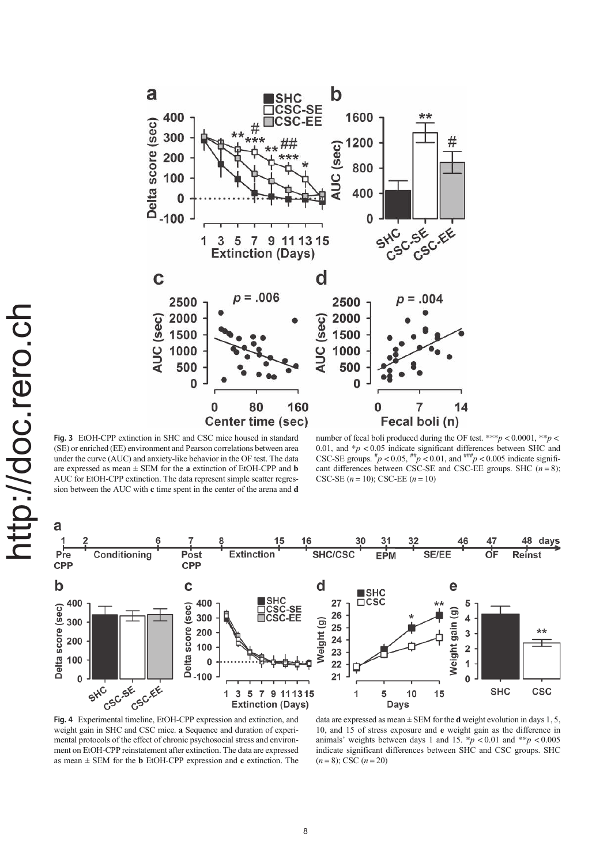

Fig. 3 EtOH-CPP extinction in SHC and CSC mice housed in standard (SE) or enriched (EE) environment and Pearson correlations between area under the curve (AUC) and anxiety-like behavior in the OF test. The data are expressed as mean  $\pm$  SEM for the **a** extinction of EtOH-CPP and **b** AUC for EtOH-CPP extinction. The data represent simple scatter regression between the AUC with c time spent in the center of the arena and d

number of fecal boli produced during the OF test. \*\*\*  $p < 0.0001$ , \*\*  $p <$ 0.01, and  $\frac{1}{p}$  < 0.05 indicate significant differences between SHC and CSC-SE groups.  $\#p < 0.05$ ,  $\#p < 0.01$ , and  $\#m = p < 0.005$  indicate significant differences between CSC-SE and CSC-EE groups. SHC  $(n=8)$ ; CSC-SE  $(n = 10)$ ; CSC-EE  $(n = 10)$ 



Fig. 4 Experimental timeline, EtOH-CPP expression and extinction, and weight gain in SHC and CSC mice. a Sequence and duration of experimental protocols of the effect of chronic psychosocial stress and environment on EtOH-CPP reinstatement after extinction. The data are expressed as mean  $\pm$  SEM for the **b** EtOH-CPP expression and **c** extinction. The

data are expressed as mean  $\pm$  SEM for the **d** weight evolution in days 1, 5, 10, and 15 of stress exposure and e weight gain as the difference in animals' weights between days 1 and 15.  $\frac{k}{p}$  < 0.01 and  $\frac{k}{p}$  < 0.005 indicate significant differences between SHC and CSC groups. SHC  $(n = 8)$ ; CSC  $(n = 20)$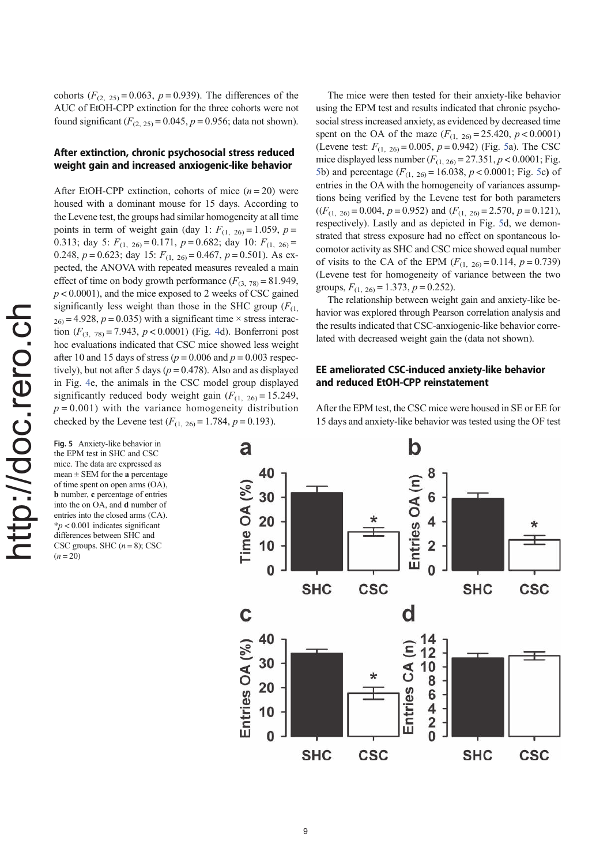cohorts  $(F_{(2, 25)} = 0.063, p = 0.939)$ . The differences of the AUC of EtOH-CPP extinction for the three cohorts were not found significant  $(F_{(2, 25)} = 0.045, p = 0.956$ ; data not shown).

# After extinction, chronic psychosocial stress reduced weight gain and increased anxiogenic-like behavior

After EtOH-CPP extinction, cohorts of mice  $(n = 20)$  were housed with a dominant mouse for 15 days. According to the Levene test, the groups had similar homogeneity at all time points in term of weight gain (day 1:  $F_{(1, 26)} = 1.059$ ,  $p =$ 0.313; day 5:  $F_{(1, 26)} = 0.171$ ,  $p = 0.682$ ; day 10:  $F_{(1, 26)} =$ 0.248,  $p = 0.623$ ; day 15:  $F_{(1, 26)} = 0.467$ ,  $p = 0.501$ ). As expected, the ANOVA with repeated measures revealed a main effect of time on body growth performance  $(F_{(3, 78)} = 81.949)$ ,  $p < 0.0001$ ), and the mice exposed to 2 weeks of CSC gained significantly less weight than those in the SHC group  $(F_{(1)})$  $_{26)}$  = 4.928,  $p = 0.035$ ) with a significant time  $\times$  stress interaction  $(F_{(3, 78)} = 7.943, p < 0.0001)$  (Fig. 4d). Bonferroni post hoc evaluations indicated that CSC mice showed less weight after 10 and 15 days of stress ( $p = 0.006$  and  $p = 0.003$  respectively), but not after 5 days ( $p = 0.478$ ). Also and as displayed in Fig. 4e, the animals in the CSC model group displayed significantly reduced body weight gain  $(F_{(1, 26)} = 15.249)$ ,  $p = 0.001$ ) with the variance homogeneity distribution checked by the Levene test  $(F_{(1, 26)} = 1.784, p = 0.193)$ .

Fig. 5 Anxiety-like behavior in the EPM test in SHC and CSC mice. The data are expressed as mean  $\pm$  SEM for the a percentage of time spent on open arms (OA), b number, c percentage of entries into the on OA, and d number of entries into the closed arms (CA).  $*p$  < 0.001 indicates significant differences between SHC and CSC groups. SHC  $(n=8)$ ; CSC  $(n = 20)$ 

The mice were then tested for their anxiety-like behavior using the EPM test and results indicated that chronic psychosocial stress increased anxiety, as evidenced by decreased time spent on the OA of the maze  $(F_{(1, 26)} = 25.420, p < 0.0001)$ (Levene test:  $F_{(1, 26)} = 0.005$ ,  $p = 0.942$ ) (Fig. 5a). The CSC mice displayed less number  $(F_{(1, 26)} = 27.351, p < 0.0001;$  Fig. 5b) and percentage  $(F_{(1, 26)} = 16.038, p < 0.0001;$  Fig. 5c) of entries in the OA with the homogeneity of variances assumptions being verified by the Levene test for both parameters  $((F<sub>(1, 26)</sub> = 0.004, p = 0.952)$  and  $(F<sub>(1, 26)</sub> = 2.570, p = 0.121)$ , respectively). Lastly and as depicted in Fig. 5d, we demonstrated that stress exposure had no effect on spontaneous locomotor activity as SHC and CSC mice showed equal number of visits to the CA of the EPM ( $F_{(1, 26)} = 0.114$ ,  $p = 0.739$ ) (Levene test for homogeneity of variance between the two groups,  $F_{(1, 26)} = 1.373$ ,  $p = 0.252$ ).

The relationship between weight gain and anxiety-like behavior was explored through Pearson correlation analysis and the results indicated that CSC-anxiogenic-like behavior correlated with decreased weight gain the (data not shown).

# EE ameliorated CSC-induced anxiety-like behavior and reduced EtOH-CPP reinstatement

After the EPM test, the CSC mice were housed in SE or EE for 15 days and anxiety-like behavior was tested using the OF test

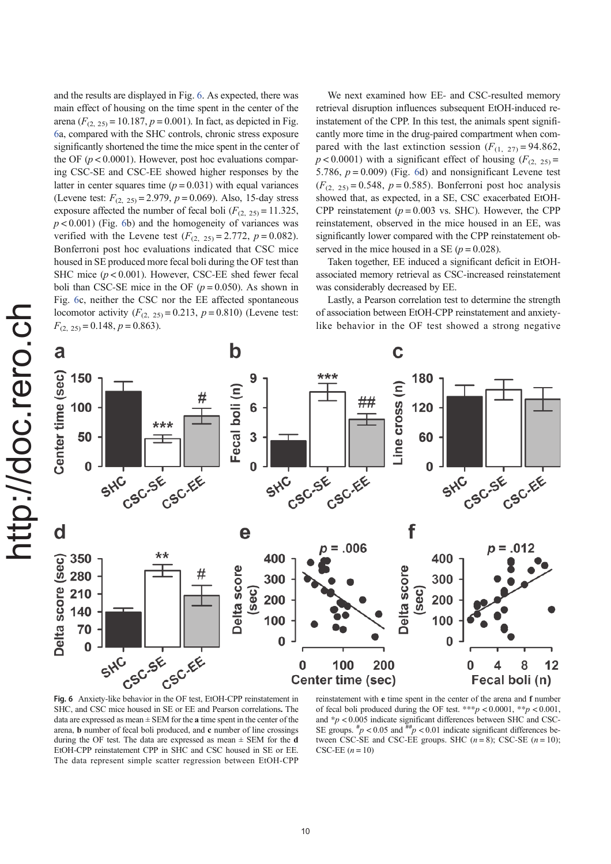and the results are displayed in Fig. 6. As expected, there was main effect of housing on the time spent in the center of the arena ( $F_{(2, 25)} = 10.187$ ,  $p = 0.001$ ). In fact, as depicted in Fig. 6a, compared with the SHC controls, chronic stress exposure significantly shortened the time the mice spent in the center of the OF  $(p < 0.0001)$ . However, post hoc evaluations comparing CSC-SE and CSC-EE showed higher responses by the latter in center squares time  $(p = 0.031)$  with equal variances (Levene test:  $F_{(2, 25)} = 2.979$ ,  $p = 0.069$ ). Also, 15-day stress exposure affected the number of fecal boli  $(F_{(2, 25)} = 11.325)$ ,  $p < 0.001$ ) (Fig. 6b) and the homogeneity of variances was verified with the Levene test  $(F_{(2, 25)} = 2.772, p = 0.082)$ . Bonferroni post hoc evaluations indicated that CSC mice housed in SE produced more fecal boli during the OF test than SHC mice  $(p < 0.001)$ . However, CSC-EE shed fewer fecal boli than CSC-SE mice in the OF  $(p = 0.050)$ . As shown in Fig. 6c, neither the CSC nor the EE affected spontaneous locomotor activity  $(F_{(2, 25)} = 0.213, p = 0.810)$  (Levene test:  $F_{(2, 25)} = 0.148, p = 0.863$ .

We next examined how EE- and CSC-resulted memory retrieval disruption influences subsequent EtOH-induced reinstatement of the CPP. In this test, the animals spent significantly more time in the drug-paired compartment when compared with the last extinction session  $(F_{(1, 27)} = 94.862)$ ,  $p < 0.0001$ ) with a significant effect of housing  $(F_{(2, 25)} =$ 5.786,  $p = 0.009$ ) (Fig. 6d) and nonsignificant Levene test  $(F_{(2, 25)} = 0.548, p = 0.585)$ . Bonferroni post hoc analysis showed that, as expected, in a SE, CSC exacerbated EtOH-CPP reinstatement ( $p = 0.003$  vs. SHC). However, the CPP reinstatement, observed in the mice housed in an EE, was significantly lower compared with the CPP reinstatement observed in the mice housed in a SE ( $p = 0.028$ ).

Taken together, EE induced a significant deficit in EtOHassociated memory retrieval as CSC-increased reinstatement was considerably decreased by EE.

Lastly, a Pearson correlation test to determine the strength of association between EtOH-CPP reinstatement and anxietylike behavior in the OF test showed a strong negative



SHC, and CSC mice housed in SE or EE and Pearson correlations. The data are expressed as mean  $\pm$  SEM for the **a** time spent in the center of the arena, b number of fecal boli produced, and c number of line crossings during the OF test. The data are expressed as mean  $\pm$  SEM for the **d** EtOH-CPP reinstatement CPP in SHC and CSC housed in SE or EE. The data represent simple scatter regression between EtOH-CPP

reinstatement with e time spent in the center of the arena and f number of fecal boli produced during the OF test. \*\*\*p < 0.0001, \*\*p < 0.001, and  $\sp{*}p < 0.005$  indicate significant differences between SHC and CSC-SE groups.  $\sp{*}p < 0.05$  and  $\sp{*}p \leq 0.01$  indicate significant differences between CSC-SE and CSC-EE groups. SHC  $(n=8)$ ; CSC-SE  $(n=10)$ ; CSC-EE  $(n = 10)$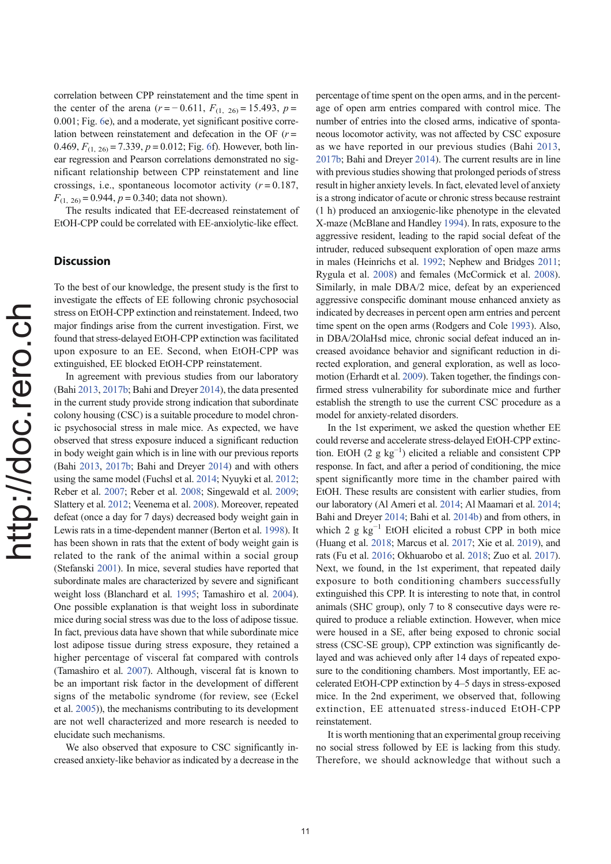correlation between CPP reinstatement and the time spent in the center of the arena ( $r = -0.611$ ,  $F_{(1, 26)} = 15.493$ ,  $p =$ 0.001; Fig. 6e), and a moderate, yet significant positive correlation between reinstatement and defecation in the OF  $(r =$ 0.469,  $F_{(1, 26)} = 7.339$ ,  $p = 0.012$ ; Fig. 6f). However, both linear regression and Pearson correlations demonstrated no significant relationship between CPP reinstatement and line crossings, i.e., spontaneous locomotor activity  $(r = 0.187,$  $F_{(1, 26)} = 0.944$ ,  $p = 0.340$ ; data not shown).

The results indicated that EE-decreased reinstatement of EtOH-CPP could be correlated with EE-anxiolytic-like effect.

### **Discussion**

To the best of our knowledge, the present study is the first to investigate the effects of EE following chronic psychosocial stress on EtOH-CPP extinction and reinstatement. Indeed, two major findings arise from the current investigation. First, we found that stress-delayed EtOH-CPP extinction was facilitated upon exposure to an EE. Second, when EtOH-CPP was extinguished, EE blocked EtOH-CPP reinstatement.

In agreement with previous studies from our laboratory (Bahi 2013, 2017b; Bahi and Dreyer 2014), the data presented in the current study provide strong indication that subordinate colony housing (CSC) is a suitable procedure to model chronic psychosocial stress in male mice. As expected, we have observed that stress exposure induced a significant reduction in body weight gain which is in line with our previous reports (Bahi 2013, 2017b; Bahi and Dreyer 2014) and with others using the same model (Fuchsl et al. 2014; Nyuyki et al. 2012; Reber et al. 2007; Reber et al. 2008; Singewald et al. 2009; Slattery et al. 2012; Veenema et al. 2008). Moreover, repeated defeat (once a day for 7 days) decreased body weight gain in Lewis rats in a time-dependent manner (Berton et al. 1998). It has been shown in rats that the extent of body weight gain is related to the rank of the animal within a social group (Stefanski 2001). In mice, several studies have reported that subordinate males are characterized by severe and significant weight loss (Blanchard et al. 1995; Tamashiro et al. 2004). One possible explanation is that weight loss in subordinate mice during social stress was due to the loss of adipose tissue. In fact, previous data have shown that while subordinate mice lost adipose tissue during stress exposure, they retained a higher percentage of visceral fat compared with controls (Tamashiro et al. 2007). Although, visceral fat is known to be an important risk factor in the development of different signs of the metabolic syndrome (for review, see (Eckel et al. 2005)), the mechanisms contributing to its development are not well characterized and more research is needed to elucidate such mechanisms.

We also observed that exposure to CSC significantly increased anxiety-like behavior as indicated by a decrease in the percentage of time spent on the open arms, and in the percentage of open arm entries compared with control mice. The number of entries into the closed arms, indicative of spontaneous locomotor activity, was not affected by CSC exposure as we have reported in our previous studies (Bahi 2013, 2017b; Bahi and Dreyer 2014). The current results are in line with previous studies showing that prolonged periods of stress result in higher anxiety levels. In fact, elevated level of anxiety is a strong indicator of acute or chronic stress because restraint (1 h) produced an anxiogenic-like phenotype in the elevated X-maze (McBlane and Handley 1994). In rats, exposure to the aggressive resident, leading to the rapid social defeat of the intruder, reduced subsequent exploration of open maze arms in males (Heinrichs et al. 1992; Nephew and Bridges 2011; Rygula et al. 2008) and females (McCormick et al. 2008). Similarly, in male DBA/2 mice, defeat by an experienced aggressive conspecific dominant mouse enhanced anxiety as indicated by decreases in percent open arm entries and percent time spent on the open arms (Rodgers and Cole 1993). Also, in DBA/2OlaHsd mice, chronic social defeat induced an increased avoidance behavior and significant reduction in directed exploration, and general exploration, as well as locomotion (Erhardt et al. 2009). Taken together, the findings confirmed stress vulnerability for subordinate mice and further establish the strength to use the current CSC procedure as a model for anxiety-related disorders.

In the 1st experiment, we asked the question whether EE could reverse and accelerate stress-delayed EtOH-CPP extinction. EtOH (2  $g kg^{-1}$ ) elicited a reliable and consistent CPP response. In fact, and after a period of conditioning, the mice spent significantly more time in the chamber paired with EtOH. These results are consistent with earlier studies, from our laboratory (Al Ameri et al. 2014; Al Maamari et al. 2014; Bahi and Dreyer 2014; Bahi et al. 2014b) and from others, in which 2  $g$  kg<sup>-1</sup> EtOH elicited a robust CPP in both mice (Huang et al. 2018; Marcus et al. 2017; Xie et al. 2019), and rats (Fu et al. 2016; Okhuarobo et al. 2018; Zuo et al. 2017). Next, we found, in the 1st experiment, that repeated daily exposure to both conditioning chambers successfully extinguished this CPP. It is interesting to note that, in control animals (SHC group), only 7 to 8 consecutive days were required to produce a reliable extinction. However, when mice were housed in a SE, after being exposed to chronic social stress (CSC-SE group), CPP extinction was significantly delayed and was achieved only after 14 days of repeated exposure to the conditioning chambers. Most importantly, EE accelerated EtOH-CPP extinction by 4–5 days in stress-exposed mice. In the 2nd experiment, we observed that, following extinction, EE attenuated stress-induced EtOH-CPP reinstatement.

It is worth mentioning that an experimental group receiving no social stress followed by EE is lacking from this study. Therefore, we should acknowledge that without such a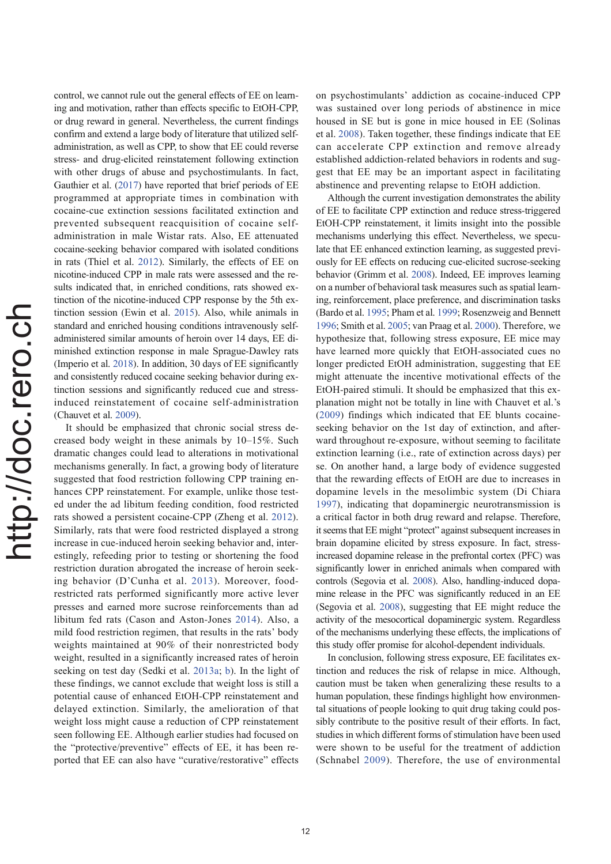control, we cannot rule out the general effects of EE on learning and motivation, rather than effects specific to EtOH-CPP, or drug reward in general. Nevertheless, the current findings confirm and extend a large body of literature that utilized selfadministration, as well as CPP, to show that EE could reverse stress- and drug-elicited reinstatement following extinction with other drugs of abuse and psychostimulants. In fact, Gauthier et al. (2017) have reported that brief periods of EE programmed at appropriate times in combination with cocaine-cue extinction sessions facilitated extinction and prevented subsequent reacquisition of cocaine selfadministration in male Wistar rats. Also, EE attenuated cocaine-seeking behavior compared with isolated conditions in rats (Thiel et al. 2012). Similarly, the effects of EE on nicotine-induced CPP in male rats were assessed and the results indicated that, in enriched conditions, rats showed extinction of the nicotine-induced CPP response by the 5th extinction session (Ewin et al. 2015). Also, while animals in standard and enriched housing conditions intravenously selfadministered similar amounts of heroin over 14 days, EE diminished extinction response in male Sprague-Dawley rats (Imperio et al. 2018). In addition, 30 days of EE significantly and consistently reduced cocaine seeking behavior during extinction sessions and significantly reduced cue and stressinduced reinstatement of cocaine self-administration (Chauvet et al. 2009).

It should be emphasized that chronic social stress decreased body weight in these animals by 10–15%. Such dramatic changes could lead to alterations in motivational mechanisms generally. In fact, a growing body of literature suggested that food restriction following CPP training enhances CPP reinstatement. For example, unlike those tested under the ad libitum feeding condition, food restricted rats showed a persistent cocaine-CPP (Zheng et al. 2012). Similarly, rats that were food restricted displayed a strong increase in cue-induced heroin seeking behavior and, interestingly, refeeding prior to testing or shortening the food restriction duration abrogated the increase of heroin seeking behavior (D'Cunha et al. 2013). Moreover, foodrestricted rats performed significantly more active lever presses and earned more sucrose reinforcements than ad libitum fed rats (Cason and Aston-Jones 2014). Also, a mild food restriction regimen, that results in the rats' body weights maintained at 90% of their nonrestricted body weight, resulted in a significantly increased rates of heroin seeking on test day (Sedki et al. 2013a; b). In the light of these findings, we cannot exclude that weight loss is still a potential cause of enhanced EtOH-CPP reinstatement and delayed extinction. Similarly, the amelioration of that weight loss might cause a reduction of CPP reinstatement seen following EE. Although earlier studies had focused on the "protective/preventive" effects of EE, it has been reported that EE can also have "curative/restorative" effects on psychostimulants' addiction as cocaine-induced CPP was sustained over long periods of abstinence in mice housed in SE but is gone in mice housed in EE (Solinas et al. 2008). Taken together, these findings indicate that EE can accelerate CPP extinction and remove already established addiction-related behaviors in rodents and suggest that EE may be an important aspect in facilitating abstinence and preventing relapse to EtOH addiction.

Although the current investigation demonstrates the ability of EE to facilitate CPP extinction and reduce stress-triggered EtOH-CPP reinstatement, it limits insight into the possible mechanisms underlying this effect. Nevertheless, we speculate that EE enhanced extinction learning, as suggested previously for EE effects on reducing cue-elicited sucrose-seeking behavior (Grimm et al. 2008). Indeed, EE improves learning on a number of behavioral task measures such as spatial learning, reinforcement, place preference, and discrimination tasks (Bardo et al. 1995; Pham et al. 1999; Rosenzweig and Bennett 1996; Smith et al. 2005; van Praag et al. 2000). Therefore, we hypothesize that, following stress exposure, EE mice may have learned more quickly that EtOH-associated cues no longer predicted EtOH administration, suggesting that EE might attenuate the incentive motivational effects of the EtOH-paired stimuli. It should be emphasized that this explanation might not be totally in line with Chauvet et al.'s (2009) findings which indicated that EE blunts cocaineseeking behavior on the 1st day of extinction, and afterward throughout re-exposure, without seeming to facilitate extinction learning (i.e., rate of extinction across days) per se. On another hand, a large body of evidence suggested that the rewarding effects of EtOH are due to increases in dopamine levels in the mesolimbic system (Di Chiara 1997), indicating that dopaminergic neurotransmission is a critical factor in both drug reward and relapse. Therefore, it seems that EE might "protect" against subsequent increases in brain dopamine elicited by stress exposure. In fact, stressincreased dopamine release in the prefrontal cortex (PFC) was significantly lower in enriched animals when compared with controls (Segovia et al. 2008). Also, handling-induced dopamine release in the PFC was significantly reduced in an EE (Segovia et al. 2008), suggesting that EE might reduce the activity of the mesocortical dopaminergic system. Regardless of the mechanisms underlying these effects, the implications of this study offer promise for alcohol-dependent individuals.

In conclusion, following stress exposure, EE facilitates extinction and reduces the risk of relapse in mice. Although, caution must be taken when generalizing these results to a human population, these findings highlight how environmental situations of people looking to quit drug taking could possibly contribute to the positive result of their efforts. In fact, studies in which different forms of stimulation have been used were shown to be useful for the treatment of addiction (Schnabel 2009). Therefore, the use of environmental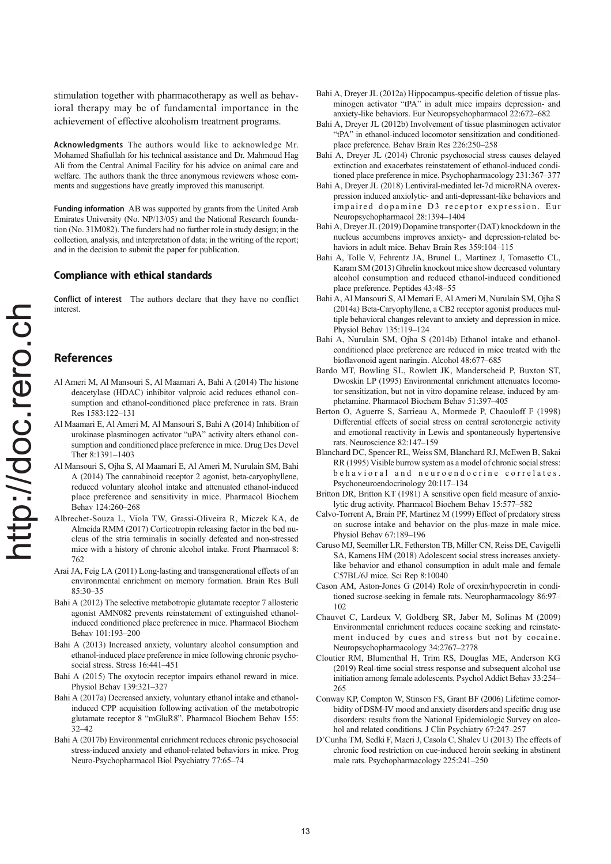stimulation together with pharmacotherapy as well as behavioral therapy may be of fundamental importance in the achievement of effective alcoholism treatment programs.

Acknowledgments The authors would like to acknowledge Mr. Mohamed Shafiullah for his technical assistance and Dr. Mahmoud Hag Ali from the Central Animal Facility for his advice on animal care and welfare. The authors thank the three anonymous reviewers whose comments and suggestions have greatly improved this manuscript.

Funding information AB was supported by grants from the United Arab Emirates University (No. NP/13/05) and the National Research foundation (No. 31M082). The funders had no further role in study design; in the collection, analysis, and interpretation of data; in the writing of the report; and in the decision to submit the paper for publication.

#### Compliance with ethical standards

Conflict of interest The authors declare that they have no conflict interest.

# References

- Al Ameri M, Al Mansouri S, Al Maamari A, Bahi A (2014) The histone deacetylase (HDAC) inhibitor valproic acid reduces ethanol consumption and ethanol-conditioned place preference in rats. Brain Res 1583:122–131
- Al Maamari E, Al Ameri M, Al Mansouri S, Bahi A (2014) Inhibition of urokinase plasminogen activator "uPA" activity alters ethanol consumption and conditioned place preference in mice. Drug Des Devel Ther 8:1391–1403
- Al Mansouri S, Ojha S, Al Maamari E, Al Ameri M, Nurulain SM, Bahi A (2014) The cannabinoid receptor 2 agonist, beta-caryophyllene, reduced voluntary alcohol intake and attenuated ethanol-induced place preference and sensitivity in mice. Pharmacol Biochem Behav 124:260–268
- Albrechet-Souza L, Viola TW, Grassi-Oliveira R, Miczek KA, de Almeida RMM (2017) Corticotropin releasing factor in the bed nucleus of the stria terminalis in socially defeated and non-stressed mice with a history of chronic alcohol intake. Front Pharmacol 8: 762
- Arai JA, Feig LA (2011) Long-lasting and transgenerational effects of an environmental enrichment on memory formation. Brain Res Bull 85:30–35
- Bahi A (2012) The selective metabotropic glutamate receptor 7 allosteric agonist AMN082 prevents reinstatement of extinguished ethanolinduced conditioned place preference in mice. Pharmacol Biochem Behav 101:193–200
- Bahi A (2013) Increased anxiety, voluntary alcohol consumption and ethanol-induced place preference in mice following chronic psychosocial stress. Stress 16:441–451
- Bahi A (2015) The oxytocin receptor impairs ethanol reward in mice. Physiol Behav 139:321–327
- Bahi A (2017a) Decreased anxiety, voluntary ethanol intake and ethanolinduced CPP acquisition following activation of the metabotropic glutamate receptor 8 "mGluR8". Pharmacol Biochem Behav 155: 32–42
- Bahi A (2017b) Environmental enrichment reduces chronic psychosocial stress-induced anxiety and ethanol-related behaviors in mice. Prog Neuro-Psychopharmacol Biol Psychiatry 77:65–74
- Bahi A, Dreyer JL (2012a) Hippocampus-specific deletion of tissue plasminogen activator "tPA" in adult mice impairs depression- and anxiety-like behaviors. Eur Neuropsychopharmacol 22:672–682
- Bahi A, Dreyer JL (2012b) Involvement of tissue plasminogen activator "tPA" in ethanol-induced locomotor sensitization and conditionedplace preference. Behav Brain Res 226:250–258
- Bahi A, Dreyer JL (2014) Chronic psychosocial stress causes delayed extinction and exacerbates reinstatement of ethanol-induced conditioned place preference in mice. Psychopharmacology 231:367–377
- Bahi A, Dreyer JL (2018) Lentiviral-mediated let-7d microRNA overexpression induced anxiolytic- and anti-depressant-like behaviors and impaired dopamine D3 receptor expression. Eur Neuropsychopharmacol 28:1394–1404
- Bahi A, Dreyer JL (2019) Dopamine transporter (DAT) knockdown in the nucleus accumbens improves anxiety- and depression-related behaviors in adult mice. Behav Brain Res 359:104–115
- Bahi A, Tolle V, Fehrentz JA, Brunel L, Martinez J, Tomasetto CL, Karam SM (2013) Ghrelin knockout mice show decreased voluntary alcohol consumption and reduced ethanol-induced conditioned place preference. Peptides 43:48–55
- Bahi A, Al Mansouri S, Al Memari E, Al Ameri M, Nurulain SM, Ojha S (2014a) Beta-Caryophyllene, a CB2 receptor agonist produces multiple behavioral changes relevant to anxiety and depression in mice. Physiol Behav 135:119–124
- Bahi A, Nurulain SM, Ojha S (2014b) Ethanol intake and ethanolconditioned place preference are reduced in mice treated with the bioflavonoid agent naringin. Alcohol 48:677–685
- Bardo MT, Bowling SL, Rowlett JK, Manderscheid P, Buxton ST, Dwoskin LP (1995) Environmental enrichment attenuates locomotor sensitization, but not in vitro dopamine release, induced by amphetamine. Pharmacol Biochem Behav 51:397–405
- Berton O, Aguerre S, Sarrieau A, Mormede P, Chaouloff F (1998) Differential effects of social stress on central serotonergic activity and emotional reactivity in Lewis and spontaneously hypertensive rats. Neuroscience 82:147–159
- Blanchard DC, Spencer RL, Weiss SM, Blanchard RJ, McEwen B, Sakai RR (1995) Visible burrow system as a model of chronic social stress: behavioral and neuroendocrine correlates. Psychoneuroendocrinology 20:117–134
- Britton DR, Britton KT (1981) A sensitive open field measure of anxiolytic drug activity. Pharmacol Biochem Behav 15:577–582
- Calvo-Torrent A, Brain PF, Martinez M (1999) Effect of predatory stress on sucrose intake and behavior on the plus-maze in male mice. Physiol Behav 67:189–196
- Caruso MJ, Seemiller LR, Fetherston TB, Miller CN, Reiss DE, Cavigelli SA, Kamens HM (2018) Adolescent social stress increases anxietylike behavior and ethanol consumption in adult male and female C57BL/6J mice. Sci Rep 8:10040
- Cason AM, Aston-Jones G (2014) Role of orexin/hypocretin in conditioned sucrose-seeking in female rats. Neuropharmacology 86:97– 102
- Chauvet C, Lardeux V, Goldberg SR, Jaber M, Solinas M (2009) Environmental enrichment reduces cocaine seeking and reinstatement induced by cues and stress but not by cocaine. Neuropsychopharmacology 34:2767–2778
- Cloutier RM, Blumenthal H, Trim RS, Douglas ME, Anderson KG (2019) Real-time social stress response and subsequent alcohol use initiation among female adolescents. Psychol Addict Behav 33:254– 265
- Conway KP, Compton W, Stinson FS, Grant BF (2006) Lifetime comorbidity of DSM-IV mood and anxiety disorders and specific drug use disorders: results from the National Epidemiologic Survey on alcohol and related conditions. J Clin Psychiatry 67:247–257
- D'Cunha TM, Sedki F, Macri J, Casola C, Shalev U (2013) The effects of chronic food restriction on cue-induced heroin seeking in abstinent male rats. Psychopharmacology 225:241–250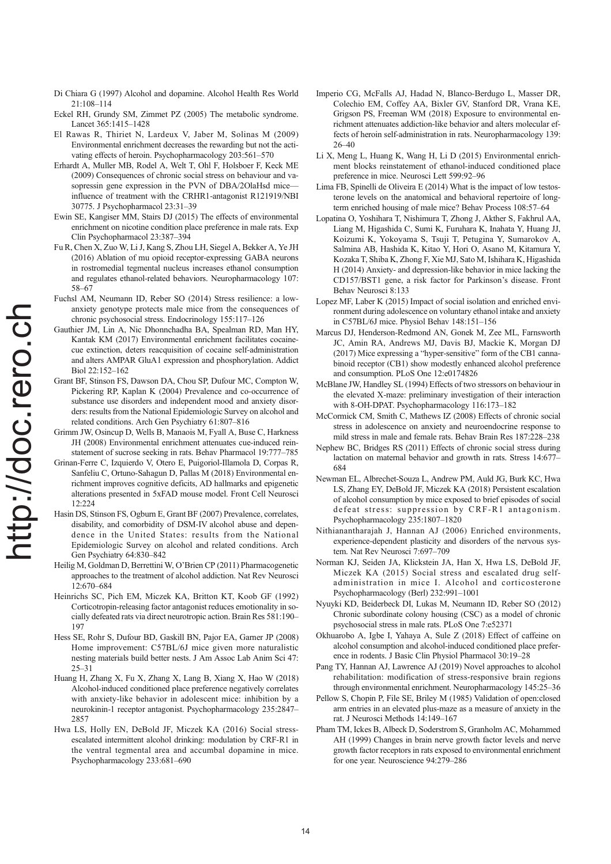- Di Chiara G (1997) Alcohol and dopamine. Alcohol Health Res World 21:108–114
- Eckel RH, Grundy SM, Zimmet PZ (2005) The metabolic syndrome. Lancet 365:1415–1428
- El Rawas R, Thiriet N, Lardeux V, Jaber M, Solinas M (2009) Environmental enrichment decreases the rewarding but not the activating effects of heroin. Psychopharmacology 203:561–570
- Erhardt A, Muller MB, Rodel A, Welt T, Ohl F, Holsboer F, Keck ME (2009) Consequences of chronic social stress on behaviour and vasopressin gene expression in the PVN of DBA/2OlaHsd mice influence of treatment with the CRHR1-antagonist R121919/NBI 30775. J Psychopharmacol 23:31–39
- Ewin SE, Kangiser MM, Stairs DJ (2015) The effects of environmental enrichment on nicotine condition place preference in male rats. Exp Clin Psychopharmacol 23:387–394
- Fu R, Chen X, Zuo W, Li J, Kang S, Zhou LH, Siegel A, Bekker A, Ye JH (2016) Ablation of mu opioid receptor-expressing GABA neurons in rostromedial tegmental nucleus increases ethanol consumption and regulates ethanol-related behaviors. Neuropharmacology 107: 58–67
- Fuchsl AM, Neumann ID, Reber SO (2014) Stress resilience: a lowanxiety genotype protects male mice from the consequences of chronic psychosocial stress. Endocrinology 155:117–126
- Gauthier JM, Lin A, Nic Dhonnchadha BA, Spealman RD, Man HY, Kantak KM (2017) Environmental enrichment facilitates cocainecue extinction, deters reacquisition of cocaine self-administration and alters AMPAR GluA1 expression and phosphorylation. Addict Biol 22:152–162
- Grant BF, Stinson FS, Dawson DA, Chou SP, Dufour MC, Compton W, Pickering RP, Kaplan K (2004) Prevalence and co-occurrence of substance use disorders and independent mood and anxiety disorders: results from the National Epidemiologic Survey on alcohol and related conditions. Arch Gen Psychiatry 61:807–816
- Grimm JW, Osincup D, Wells B, Manaois M, Fyall A, Buse C, Harkness JH (2008) Environmental enrichment attenuates cue-induced reinstatement of sucrose seeking in rats. Behav Pharmacol 19:777–785
- Grinan-Ferre C, Izquierdo V, Otero E, Puigoriol-Illamola D, Corpas R, Sanfeliu C, Ortuno-Sahagun D, Pallas M (2018) Environmental enrichment improves cognitive deficits, AD hallmarks and epigenetic alterations presented in 5xFAD mouse model. Front Cell Neurosci  $12:224$
- Hasin DS, Stinson FS, Ogburn E, Grant BF (2007) Prevalence, correlates, disability, and comorbidity of DSM-IV alcohol abuse and dependence in the United States: results from the National Epidemiologic Survey on alcohol and related conditions. Arch Gen Psychiatry 64:830–842
- Heilig M, Goldman D, Berrettini W, O'Brien CP (2011) Pharmacogenetic approaches to the treatment of alcohol addiction. Nat Rev Neurosci 12:670–684
- Heinrichs SC, Pich EM, Miczek KA, Britton KT, Koob GF (1992) Corticotropin-releasing factor antagonist reduces emotionality in socially defeated rats via direct neurotropic action. Brain Res 581:190– 197
- Hess SE, Rohr S, Dufour BD, Gaskill BN, Pajor EA, Garner JP (2008) Home improvement: C57BL/6J mice given more naturalistic nesting materials build better nests. J Am Assoc Lab Anim Sci 47: 25–31
- Huang H, Zhang X, Fu X, Zhang X, Lang B, Xiang X, Hao W (2018) Alcohol-induced conditioned place preference negatively correlates with anxiety-like behavior in adolescent mice: inhibition by a neurokinin-1 receptor antagonist. Psychopharmacology 235:2847– 2857
- Hwa LS, Holly EN, DeBold JF, Miczek KA (2016) Social stressescalated intermittent alcohol drinking: modulation by CRF-R1 in the ventral tegmental area and accumbal dopamine in mice. Psychopharmacology 233:681–690
- Imperio CG, McFalls AJ, Hadad N, Blanco-Berdugo L, Masser DR, Colechio EM, Coffey AA, Bixler GV, Stanford DR, Vrana KE, Grigson PS, Freeman WM (2018) Exposure to environmental enrichment attenuates addiction-like behavior and alters molecular effects of heroin self-administration in rats. Neuropharmacology 139: 26–40
- Li X, Meng L, Huang K, Wang H, Li D (2015) Environmental enrichment blocks reinstatement of ethanol-induced conditioned place preference in mice. Neurosci Lett 599:92–96
- Lima FB, Spinelli de Oliveira E (2014) What is the impact of low testosterone levels on the anatomical and behavioral repertoire of longterm enriched housing of male mice? Behav Process 108:57–64
- Lopatina O, Yoshihara T, Nishimura T, Zhong J, Akther S, Fakhrul AA, Liang M, Higashida C, Sumi K, Furuhara K, Inahata Y, Huang JJ, Koizumi K, Yokoyama S, Tsuji T, Petugina Y, Sumarokov A, Salmina AB, Hashida K, Kitao Y, Hori O, Asano M, Kitamura Y, Kozaka T, Shiba K, Zhong F, Xie MJ, Sato M, Ishihara K, Higashida H (2014) Anxiety- and depression-like behavior in mice lacking the CD157/BST1 gene, a risk factor for Parkinson's disease. Front Behav Neurosci 8:133
- Lopez MF, Laber K (2015) Impact of social isolation and enriched environment during adolescence on voluntary ethanol intake and anxiety in C57BL/6J mice. Physiol Behav 148:151–156
- Marcus DJ, Henderson-Redmond AN, Gonek M, Zee ML, Farnsworth JC, Amin RA, Andrews MJ, Davis BJ, Mackie K, Morgan DJ (2017) Mice expressing a "hyper-sensitive" form of the CB1 cannabinoid receptor (CB1) show modestly enhanced alcohol preference and consumption. PLoS One 12:e0174826
- McBlane JW, Handley SL (1994) Effects of two stressors on behaviour in the elevated X-maze: preliminary investigation of their interaction with 8-OH-DPAT. Psychopharmacology 116:173–182
- McCormick CM, Smith C, Mathews IZ (2008) Effects of chronic social stress in adolescence on anxiety and neuroendocrine response to mild stress in male and female rats. Behav Brain Res 187:228–238
- Nephew BC, Bridges RS (2011) Effects of chronic social stress during lactation on maternal behavior and growth in rats. Stress 14:677– 684
- Newman EL, Albrechet-Souza L, Andrew PM, Auld JG, Burk KC, Hwa LS, Zhang EY, DeBold JF, Miczek KA (2018) Persistent escalation of alcohol consumption by mice exposed to brief episodes of social defeat stress: suppression by CRF-R1 antagonism. Psychopharmacology 235:1807–1820
- Nithianantharajah J, Hannan AJ (2006) Enriched environments, experience-dependent plasticity and disorders of the nervous system. Nat Rev Neurosci 7:697–709
- Norman KJ, Seiden JA, Klickstein JA, Han X, Hwa LS, DeBold JF, Miczek KA (2015) Social stress and escalated drug selfadministration in mice I. Alcohol and corticosterone Psychopharmacology (Berl) 232:991–1001
- Nyuyki KD, Beiderbeck DI, Lukas M, Neumann ID, Reber SO (2012) Chronic subordinate colony housing (CSC) as a model of chronic psychosocial stress in male rats. PLoS One 7:e52371
- Okhuarobo A, Igbe I, Yahaya A, Sule Z (2018) Effect of caffeine on alcohol consumption and alcohol-induced conditioned place preference in rodents. J Basic Clin Physiol Pharmacol 30:19–28
- Pang TY, Hannan AJ, Lawrence AJ (2019) Novel approaches to alcohol rehabilitation: modification of stress-responsive brain regions through environmental enrichment. Neuropharmacology 145:25–36
- Pellow S, Chopin P, File SE, Briley M (1985) Validation of open:closed arm entries in an elevated plus-maze as a measure of anxiety in the rat. J Neurosci Methods 14:149–167
- Pham TM, Ickes B, Albeck D, Soderstrom S, Granholm AC, Mohammed AH (1999) Changes in brain nerve growth factor levels and nerve growth factor receptors in rats exposed to environmental enrichment for one year. Neuroscience 94:279–286